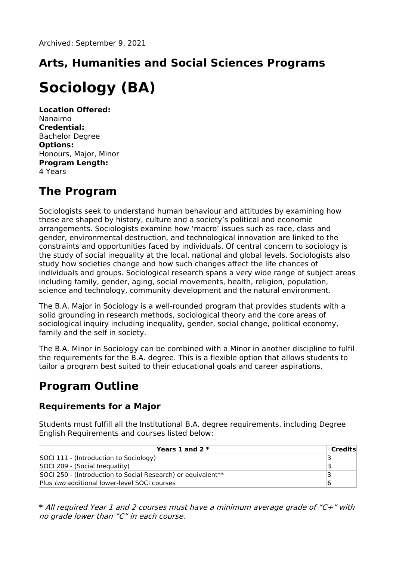# **Arts, Humanities and Social Sciences Programs**

## **Sociology (BA)**

**Location Offered:** Nanaimo **Credential:** Bachelor Degree **Options:** Honours, Major, Minor **Program Length:** 4 Years

## **The Program**

Sociologists seek to understand human behaviour and attitudes by examining how these are shaped by history, culture and a society's political and economic arrangements. Sociologists examine how 'macro' issues such as race, class and gender, environmental destruction, and technological innovation are linked to the constraints and opportunities faced by individuals. Of central concern to sociology is the study of social inequality at the local, national and global levels. Sociologists also study how societies change and how such changes affect the life chances of individuals and groups. Sociological research spans a very wide range of subject areas including family, gender, aging, social movements, health, religion, population, science and technology, community development and the natural environment.

The B.A. Major in Sociology is a well-rounded program that provides students with a solid grounding in research methods, sociological theory and the core areas of sociological inquiry including inequality, gender, social change, political economy, family and the self in society.

The B.A. Minor in Sociology can be combined with a Minor in another discipline to fulfil the requirements for the B.A. degree. This is a flexible option that allows students to tailor a program best suited to their educational goals and career aspirations.

## **Program Outline**

### **Requirements for a Major**

Students must fulfill all the Institutional B.A. degree requirements, including Degree English Requirements and courses listed below:

| Years 1 and 2 $*$                                                        | Credits |
|--------------------------------------------------------------------------|---------|
| SOCI 111 - (Introduction to Sociology)                                   |         |
| SOCI 209 - (Social Inequality)                                           |         |
| SOCI 250 - (Introduction to Social Research) or equivalent <sup>**</sup> |         |
| Plus two additional lower-level SOCI courses                             |         |

**\*** All required Year 1 and 2 courses must have <sup>a</sup> minimum average grade of "C+" with no grade lower than "C" in each course.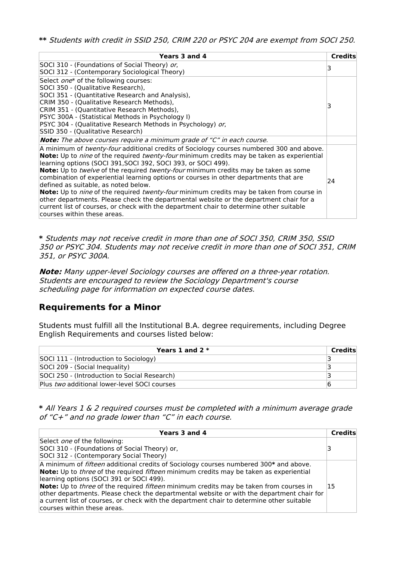**\*\*** Students with credit in SSID 250, CRIM 220 or PSYC 204 are exempt from SOCI 250.

| Years 3 and 4                                                                                                  | <b>Credits</b> |
|----------------------------------------------------------------------------------------------------------------|----------------|
| SOCI 310 - (Foundations of Social Theory) or,                                                                  | 3              |
| SOCI 312 - (Contemporary Sociological Theory)                                                                  |                |
| Select one* of the following courses:                                                                          |                |
| SOCI 350 - (Qualitative Research),                                                                             |                |
| SOCI 351 - (Quantitative Research and Analysis),                                                               |                |
| CRIM 350 - (Qualitative Research Methods),                                                                     | 3              |
| CRIM 351 - (Quantitative Research Methods),                                                                    |                |
| PSYC 300A - (Statistical Methods in Psychology I)                                                              |                |
| PSYC 304 - (Qualitative Research Methods in Psychology) or,                                                    |                |
| SSID 350 - (Qualitative Research)                                                                              |                |
| <b>Note:</b> The above courses require a minimum grade of "C" in each course.                                  |                |
| A minimum of <i>twenty-four</i> additional credits of Sociology courses numbered 300 and above.                |                |
| <b>Note:</b> Up to <i>nine</i> of the required <i>twenty-four</i> minimum credits may be taken as experiential |                |
| learning options (SOCI 391, SOCI 392, SOCI 393, or SOCI 499).                                                  |                |
| <b>Note:</b> Up to <i>twelve</i> of the required <i>twenty-four</i> minimum credits may be taken as some       |                |
| combination of experiential learning options or courses in other departments that are                          | 24             |
| defined as suitable, as noted below.                                                                           |                |
| <b>Note:</b> Up to <i>nine</i> of the required <i>twenty-four</i> minimum credits may be taken from course in  |                |
| other departments. Please check the departmental website or the department chair for a                         |                |
| current list of courses, or check with the department chair to determine other suitable                        |                |
| courses within these areas.                                                                                    |                |

**\*** Students may not receive credit in more than one of SOCI 350, CRIM 350, SSID 350 or PSYC 304. Students may not receive credit in more than one of SOCI 351, CRIM 351, or PSYC 300A.

**Note:** Many upper-level Sociology courses are offered on <sup>a</sup> three-year rotation. Students are encouraged to review the Sociology Department's course scheduling page for information on expected course dates.

#### **Requirements for a Minor**

Students must fulfill all the Institutional B.A. degree requirements, including Degree English Requirements and courses listed below:

| Years 1 and 2 $*$                            | Credits |
|----------------------------------------------|---------|
| SOCI 111 - (Introduction to Sociology)       |         |
| SOCI 209 - (Social Inequality)               |         |
| SOCI 250 - (Introduction to Social Research) |         |
| Plus two additional lower-level SOCI courses |         |

**\*** All Years 1 & 2 required courses must be completed with <sup>a</sup> minimum average grade of "C+" and no grade lower than "C" in each course.

| Years 3 and 4                                                                                                                                                                                                                                                                                                                                                                                                                                                                                                                                                                     | Credits |
|-----------------------------------------------------------------------------------------------------------------------------------------------------------------------------------------------------------------------------------------------------------------------------------------------------------------------------------------------------------------------------------------------------------------------------------------------------------------------------------------------------------------------------------------------------------------------------------|---------|
| Select <i>one</i> of the following:<br>SOCI 310 - (Foundations of Social Theory) or,<br>SOCI 312 - (Contemporary Social Theory)                                                                                                                                                                                                                                                                                                                                                                                                                                                   |         |
| A minimum of <i>fifteen</i> additional credits of Sociology courses numbered 300* and above.<br>Note: Up to <i>three</i> of the required <i>fifteen</i> minimum credits may be taken as experiential<br>learning options (SOCI 391 or SOCI 499).<br>Note: Up to <i>three</i> of the required <i>fifteen</i> minimum credits may be taken from courses in<br>other departments. Please check the departmental website or with the department chair for<br>a current list of courses, or check with the department chair to determine other suitable<br>courses within these areas. | 15      |